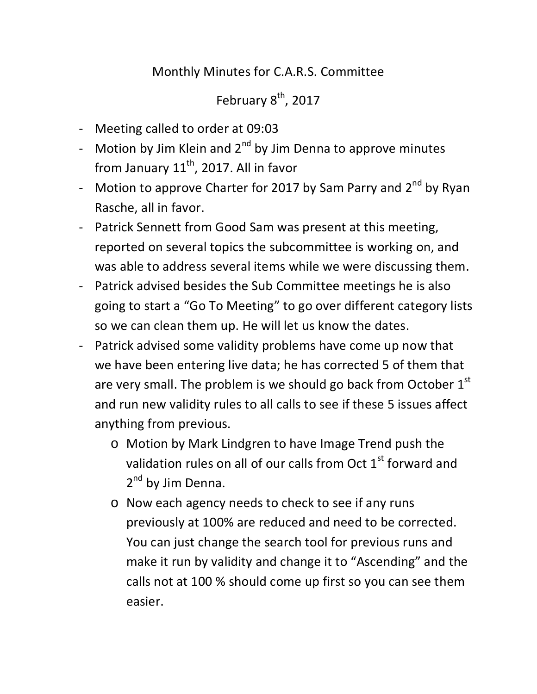## Monthly Minutes for C.A.R.S. Committee

## February 8<sup>th</sup>, 2017

- Meeting called to order at 09:03
- Motion by Jim Klein and  $2^{nd}$  by Jim Denna to approve minutes from January  $11^{th}$ , 2017. All in favor
- Motion to approve Charter for 2017 by Sam Parry and  $2^{nd}$  by Ryan Rasche, all in favor.
- Patrick Sennett from Good Sam was present at this meeting, reported on several topics the subcommittee is working on, and was able to address several items while we were discussing them.
- Patrick advised besides the Sub Committee meetings he is also going to start a "Go To Meeting" to go over different category lists so we can clean them up. He will let us know the dates.
- Patrick advised some validity problems have come up now that we have been entering live data; he has corrected 5 of them that are very small. The problem is we should go back from October  $1<sup>st</sup>$ and run new validity rules to all calls to see if these 5 issues affect anything from previous.
	- o Motion by Mark Lindgren to have Image Trend push the validation rules on all of our calls from Oct  $1<sup>st</sup>$  forward and 2<sup>nd</sup> by Jim Denna.
	- o Now each agency needs to check to see if any runs previously at 100% are reduced and need to be corrected. You can just change the search tool for previous runs and make it run by validity and change it to "Ascending" and the calls not at 100 % should come up first so you can see them easier.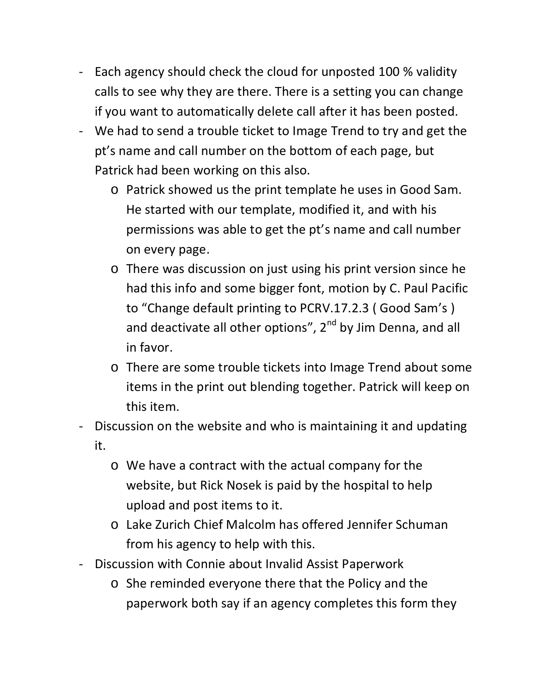- Each agency should check the cloud for unposted 100 % validity calls to see why they are there. There is a setting you can change if you want to automatically delete call after it has been posted.
- We had to send a trouble ticket to Image Trend to try and get the pt's name and call number on the bottom of each page, but Patrick had been working on this also.
	- o Patrick showed us the print template he uses in Good Sam. He started with our template, modified it, and with his permissions was able to get the pt's name and call number on every page.
	- o There was discussion on just using his print version since he had this info and some bigger font, motion by C. Paul Pacific to "Change default printing to PCRV.17.2.3 ( Good Sam's ) and deactivate all other options",  $2^{nd}$  by Jim Denna, and all in favor.
	- o There are some trouble tickets into Image Trend about some items in the print out blending together. Patrick will keep on this item.
- Discussion on the website and who is maintaining it and updating it.
	- o We have a contract with the actual company for the website, but Rick Nosek is paid by the hospital to help upload and post items to it.
	- o Lake Zurich Chief Malcolm has offered Jennifer Schuman from his agency to help with this.
- Discussion with Connie about Invalid Assist Paperwork
	- o She reminded everyone there that the Policy and the paperwork both say if an agency completes this form they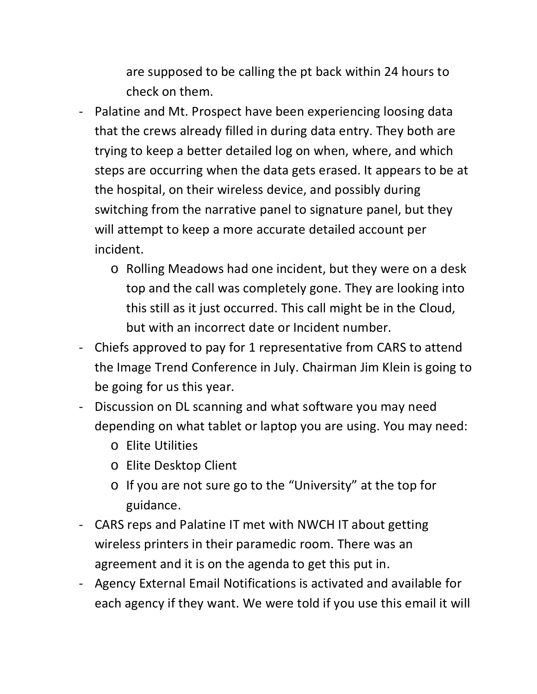are supposed to be calling the pt back within 24 hours to check on them.

- Palatine and Mt. Prospect have been experiencing loosing data that the crews already filled in during data entry. They both are trying to keep a better detailed log on when, where, and which steps are occurring when the data gets erased. It appears to be at the hospital, on their wireless device, and possibly during switching from the narrative panel to signature panel, but they will attempt to keep a more accurate detailed account per incident.
	- o Rolling Meadows had one incident, but they were on a desk top and the call was completely gone. They are looking into this still as it just occurred. This call might be in the Cloud, but with an incorrect date or Incident number.
- Chiefs approved to pay for 1 representative from CARS to attend the Image Trend Conference in July. Chairman Jim Klein is going to be going for us this year.
- Discussion on DL scanning and what software you may need depending on what tablet or laptop you are using. You may need:
	- o Elite Utilities
	- o Elite Desktop Client
	- o If you are not sure go to the "University" at the top for guidance.
- CARS reps and Palatine IT met with NWCH IT about getting wireless printers in their paramedic room. There was an agreement and it is on the agenda to get this put in.
- Agency External Email Notifications is activated and available for each agency if they want. We were told if you use this email it will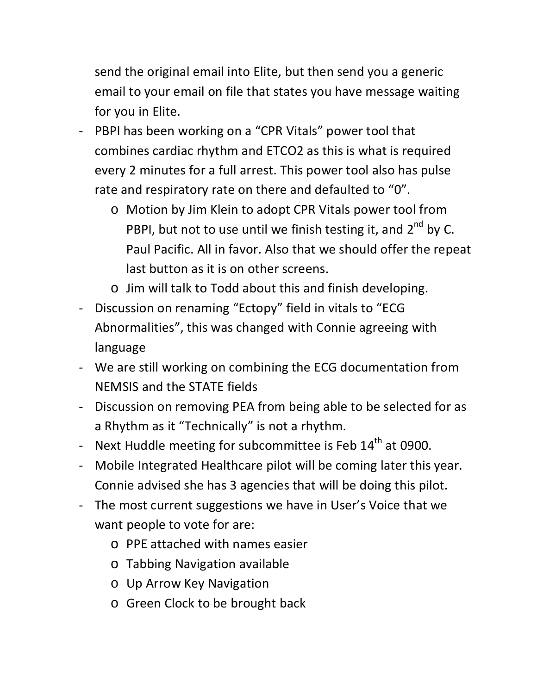send the original email into Elite, but then send you a generic email to your email on file that states you have message waiting for you in Elite.

- PBPI has been working on a "CPR Vitals" power tool that combines cardiac rhythm and ETCO2 as this is what is required every 2 minutes for a full arrest. This power tool also has pulse rate and respiratory rate on there and defaulted to "0".
	- o Motion by Jim Klein to adopt CPR Vitals power tool from PBPI, but not to use until we finish testing it, and  $2^{nd}$  by C. Paul Pacific. All in favor. Also that we should offer the repeat last button as it is on other screens.
	- o Jim will talk to Todd about this and finish developing.
- Discussion on renaming "Ectopy" field in vitals to "ECG Abnormalities", this was changed with Connie agreeing with language
- We are still working on combining the ECG documentation from NEMSIS and the STATE fields
- Discussion on removing PEA from being able to be selected for as a Rhythm as it "Technically" is not a rhythm.
- Next Huddle meeting for subcommittee is Feb  $14<sup>th</sup>$  at 0900.
- Mobile Integrated Healthcare pilot will be coming later this year. Connie advised she has 3 agencies that will be doing this pilot.
- The most current suggestions we have in User's Voice that we want people to vote for are:
	- o PPE attached with names easier
	- o Tabbing Navigation available
	- o Up Arrow Key Navigation
	- o Green Clock to be brought back